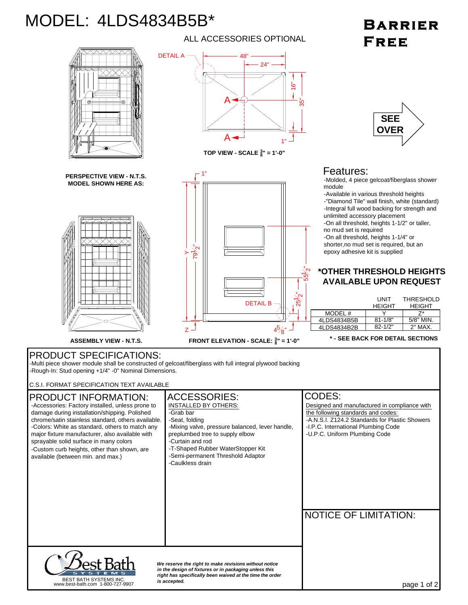## MODEL: 4LDS4834B5B\*

## **BARRIER** FREE



ALL ACCESSORIES OPTIONAL